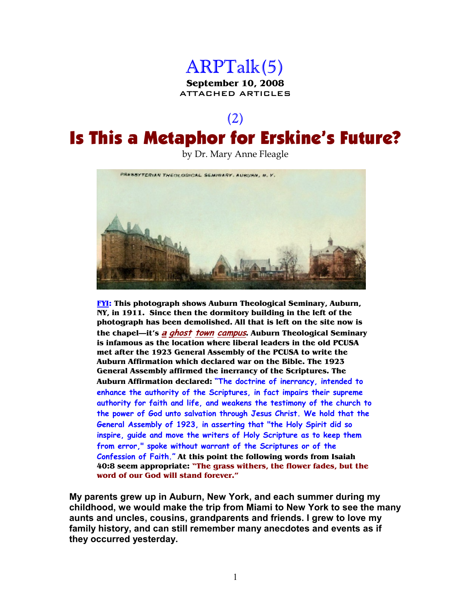

ATTACHED ARTICLES

### (2)

## Is This a Metaphor for Erskine's Future?

by Dr. Mary Anne Fleagle



**FYI: This photograph shows Auburn Theological Seminary, Auburn, NY, in 1911. Since then the dormitory building in the left of the photograph has been demolished. All that is left on the site now is the chapel—it's <sup>a</sup> ghost town campus. Auburn Theological Seminary is infamous as the location where liberal leaders in the old PCUSA met after the 1923 General Assembly of the PCUSA to write the Auburn Affirmation which declared war on the Bible. The 1923 General Assembly affirmed the inerrancy of the Scriptures. The Auburn Affirmation declared: "The doctrine of inerrancy, intended to enhance the authority of the Scriptures, in fact impairs their supreme authority for faith and life, and weakens the testimony of the church to the power of God unto salvation through Jesus Christ. We hold that the General Assembly of 1923, in asserting that "the Holy Spirit did so inspire, guide and move the writers of Holy Scripture as to keep them from error," spoke without warrant of the Scriptures or of the Confession of Faith." At this point the following words from Isaiah 40:8 seem appropriate: "The grass withers, the flower fades, but the word of our God will stand forever."**

**My parents grew up in Auburn, New York, and each summer during my childhood, we would make the trip from Miami to New York to see the many aunts and uncles, cousins, grandparents and friends. I grew to love my family history, and can still remember many anecdotes and events as if they occurred yesterday.**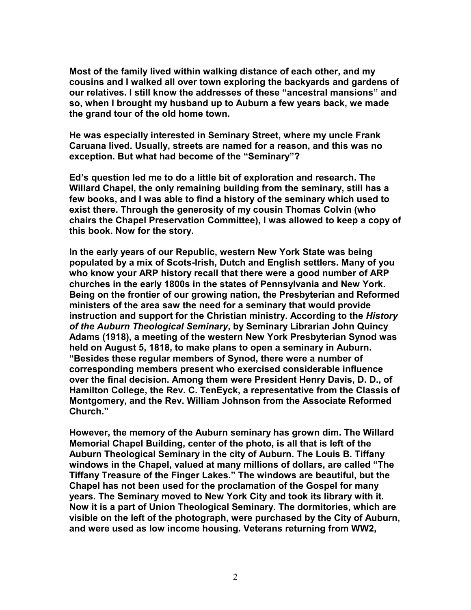**Most of the family lived within walking distance of each other, and my cousins and I walked all over town exploring the backyards and gardens of our relatives. I still know the addresses of these "ancestral mansions" and so, when I brought my husband up to Auburn a few years back, we made the grand tour of the old home town.** 

**He was especially interested in Seminary Street, where my uncle Frank Caruana lived. Usually, streets are named for a reason, and this was no exception. But what had become of the "Seminary"?** 

**Ed's question led me to do a little bit of exploration and research. The Willard Chapel, the only remaining building from the seminary, still has a few books, and I was able to find a history of the seminary which used to exist there. Through the generosity of my cousin Thomas Colvin (who chairs the Chapel Preservation Committee), I was allowed to keep a copy of this book. Now for the story.** 

**In the early years of our Republic, western New York State was being populated by a mix of Scots-Irish, Dutch and English settlers. Many of you who know your ARP history recall that there were a good number of ARP churches in the early 1800s in the states of Pennsylvania and New York. Being on the frontier of our growing nation, the Presbyterian and Reformed ministers of the area saw the need for a seminary that would provide instruction and support for the Christian ministry. According to the** *History of the Auburn Theological Seminary***, by Seminary Librarian John Quincy Adams (1918), a meeting of the western New York Presbyterian Synod was held on August 5, 1818, to make plans to open a seminary in Auburn. "Besides these regular members of Synod, there were a number of corresponding members present who exercised considerable influence over the final decision. Among them were President Henry Davis, D. D., of Hamilton College, the Rev. C. TenEyck, a representative from the Classis of Montgomery, and the Rev. William Johnson from the Associate Reformed Church."** 

**However, the memory of the Auburn seminary has grown dim. The Willard Memorial Chapel Building, center of the photo, is all that is left of the Auburn Theological Seminary in the city of Auburn. The Louis B. Tiffany windows in the Chapel, valued at many millions of dollars, are called "The Tiffany Treasure of the Finger Lakes." The windows are beautiful, but the Chapel has not been used for the proclamation of the Gospel for many years. The Seminary moved to New York City and took its library with it. Now it is a part of Union Theological Seminary. The dormitories, which are visible on the left of the photograph, were purchased by the City of Auburn, and were used as low income housing. Veterans returning from WW2,**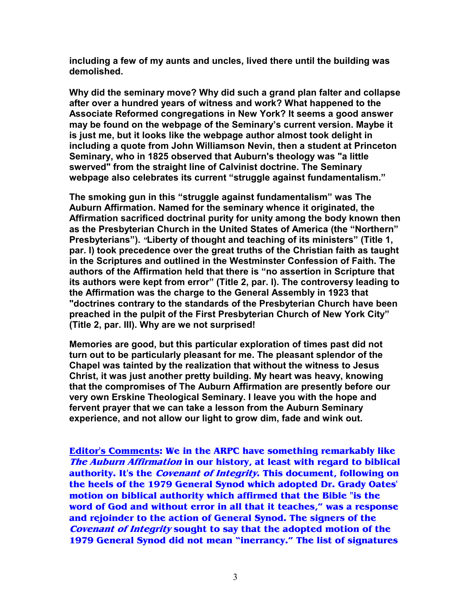**including a few of my aunts and uncles, lived there until the building was demolished.** 

**Why did the seminary move? Why did such a grand plan falter and collapse after over a hundred years of witness and work? What happened to the Associate Reformed congregations in New York? It seems a good answer may be found on the webpage of the Seminary's current version. Maybe it is just me, but it looks like the webpage author almost took delight in including a quote from John Williamson Nevin, then a student at Princeton Seminary, who in 1825 observed that Auburn's theology was "a little swerved" from the straight line of Calvinist doctrine. The Seminary webpage also celebrates its current "struggle against fundamentalism."**

**The smoking gun in this "struggle against fundamentalism" was The Auburn Affirmation. Named for the seminary whence it originated, the Affirmation sacrificed doctrinal purity for unity among the body known then as the Presbyterian Church in the United States of America (the "Northern" Presbyterians").** *"***Liberty of thought and teaching of its ministers" (Title 1, par. I) took precedence over the great truths of the Christian faith as taught in the Scriptures and outlined in the Westminster Confession of Faith. The authors of the Affirmation held that there is "no assertion in Scripture that its authors were kept from error" (Title 2, par. I). The controversy leading to the Affirmation was the charge to the General Assembly in 1923 that "doctrines contrary to the standards of the Presbyterian Church have been preached in the pulpit of the First Presbyterian Church of New York City" (Title 2, par. III). Why are we not surprised!**

**Memories are good, but this particular exploration of times past did not turn out to be particularly pleasant for me. The pleasant splendor of the Chapel was tainted by the realization that without the witness to Jesus Christ, it was just another pretty building. My heart was heavy, knowing that the compromises of The Auburn Affirmation are presently before our very own Erskine Theological Seminary. I leave you with the hope and fervent prayer that we can take a lesson from the Auburn Seminary experience, and not allow our light to grow dim, fade and wink out.**

**Editor's Comments: We in the ARPC have something remarkably like The Auburn Affirmation in our history, at least with regard to biblical authority. It's the Covenant of Integrity. This document, following on the heels of the 1979 General Synod which adopted Dr. Grady Oates' motion on biblical authority which affirmed that the Bible "is the word of God and without error in all that it teaches," was a response and rejoinder to the action of General Synod. The signers of the Covenant of Integrity sought to say that the adopted motion of the 1979 General Synod did not mean "inerrancy." The list of signatures**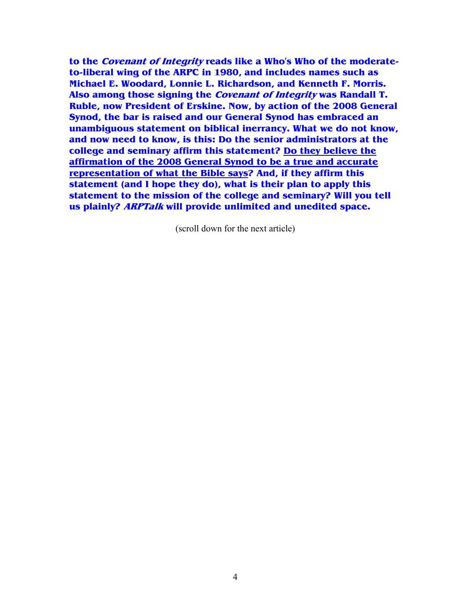**to the Covenant of Integrity reads like a Who's Who of the moderateto-liberal wing of the ARPC in 1980, and includes names such as Michael E. Woodard, Lonnie L. Richardson, and Kenneth F. Morris. Also among those signing the Covenant of Integrity was Randall T. Ruble, now President of Erskine. Now, by action of the 2008 General Synod, the bar is raised and our General Synod has embraced an unambiguous statement on biblical inerrancy. What we do not know, and now need to know, is this: Do the senior administrators at the college and seminary affirm this statement? Do they believe the affirmation of the 2008 General Synod to be a true and accurate representation of what the Bible says? And, if they affirm this statement (and I hope they do), what is their plan to apply this statement to the mission of the college and seminary? Will you tell us plainly? ARPTalk will provide unlimited and unedited space.**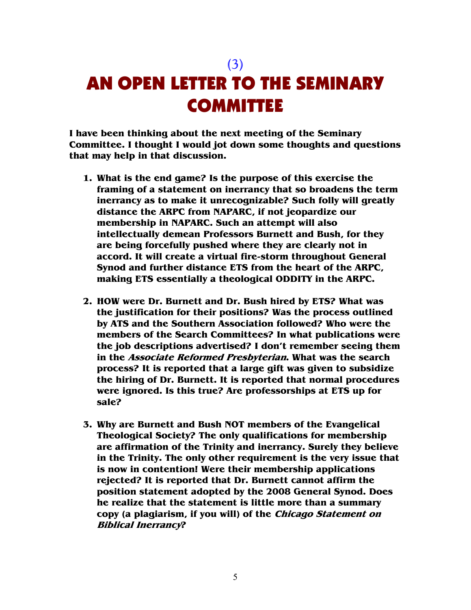(3)

# AN OPEN LETTER TO THE SEMINARY **COMMITTEE**

**I have been thinking about the next meeting of the Seminary Committee. I thought I would jot down some thoughts and questions that may help in that discussion.** 

- **1. What is the end game? Is the purpose of this exercise the framing of a statement on inerrancy that so broadens the term inerrancy as to make it unrecognizable? Such folly will greatly distance the ARPC from NAPARC, if not jeopardize our membership in NAPARC. Such an attempt will also intellectually demean Professors Burnett and Bush, for they are being forcefully pushed where they are clearly not in accord. It will create a virtual fire-storm throughout General Synod and further distance ETS from the heart of the ARPC, making ETS essentially a theological ODDITY in the ARPC.**
- **2. HOW were Dr. Burnett and Dr. Bush hired by ETS? What was the justification for their positions? Was the process outlined by ATS and the Southern Association followed? Who were the members of the Search Committees? In what publications were the job descriptions advertised? I don't remember seeing them in the Associate Reformed Presbyterian. What was the search process? It is reported that a large gift was given to subsidize the hiring of Dr. Burnett. It is reported that normal procedures were ignored. Is this true? Are professorships at ETS up for sale?**
- **3. Why are Burnett and Bush NOT members of the Evangelical Theological Society? The only qualifications for membership are affirmation of the Trinity and inerrancy. Surely they believe in the Trinity. The only other requirement is the very issue that is now in contention! Were their membership applications rejected? It is reported that Dr. Burnett cannot affirm the position statement adopted by the 2008 General Synod. Does he realize that the statement is little more than a summary copy (a plagiarism, if you will) of the Chicago Statement on Biblical Inerrancy?**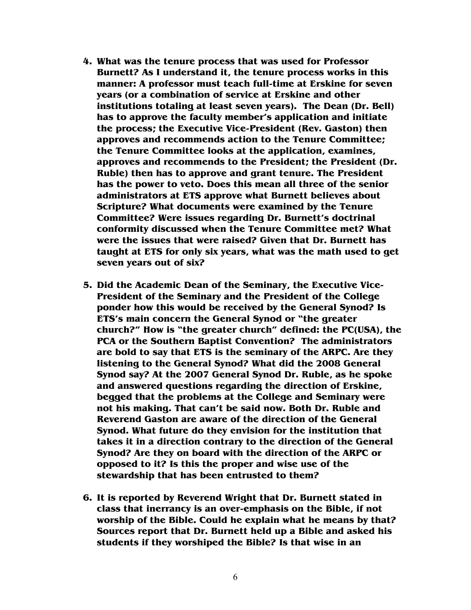- **4. What was the tenure process that was used for Professor Burnett? As I understand it, the tenure process works in this manner: A professor must teach full-time at Erskine for seven years (or a combination of service at Erskine and other institutions totaling at least seven years). The Dean (Dr. Bell) has to approve the faculty member's application and initiate the process; the Executive Vice-President (Rev. Gaston) then approves and recommends action to the Tenure Committee; the Tenure Committee looks at the application, examines, approves and recommends to the President; the President (Dr. Ruble) then has to approve and grant tenure. The President has the power to veto. Does this mean all three of the senior administrators at ETS approve what Burnett believes about Scripture? What documents were examined by the Tenure Committee? Were issues regarding Dr. Burnett's doctrinal conformity discussed when the Tenure Committee met? What were the issues that were raised? Given that Dr. Burnett has taught at ETS for only six years, what was the math used to get seven years out of six?**
- **5. Did the Academic Dean of the Seminary, the Executive Vice-President of the Seminary and the President of the College ponder how this would be received by the General Synod? Is ETS's main concern the General Synod or "the greater church?" How is "the greater church" defined: the PC(USA), the PCA or the Southern Baptist Convention? The administrators are bold to say that ETS is the seminary of the ARPC. Are they listening to the General Synod? What did the 2008 General Synod say? At the 2007 General Synod Dr. Ruble, as he spoke and answered questions regarding the direction of Erskine, begged that the problems at the College and Seminary were not his making. That can't be said now. Both Dr. Ruble and Reverend Gaston are aware of the direction of the General Synod. What future do they envision for the institution that takes it in a direction contrary to the direction of the General Synod? Are they on board with the direction of the ARPC or opposed to it? Is this the proper and wise use of the stewardship that has been entrusted to them?**
- **6. It is reported by Reverend Wright that Dr. Burnett stated in class that inerrancy is an over-emphasis on the Bible, if not worship of the Bible. Could he explain what he means by that? Sources report that Dr. Burnett held up a Bible and asked his students if they worshiped the Bible? Is that wise in an**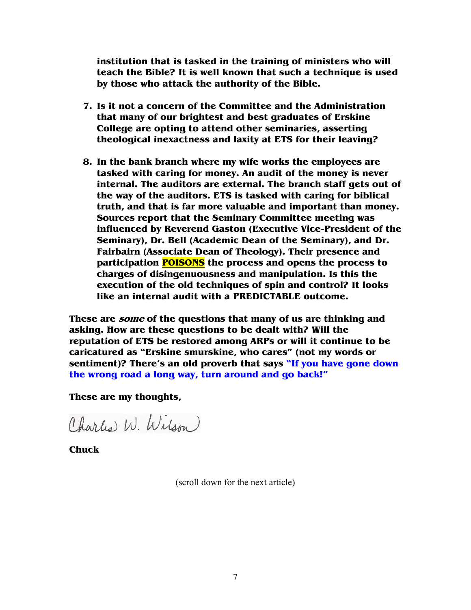**institution that is tasked in the training of ministers who will teach the Bible? It is well known that such a technique is used by those who attack the authority of the Bible.** 

- **7. Is it not a concern of the Committee and the Administration that many of our brightest and best graduates of Erskine College are opting to attend other seminaries, asserting theological inexactness and laxity at ETS for their leaving?**
- **8. In the bank branch where my wife works the employees are tasked with caring for money. An audit of the money is never internal. The auditors are external. The branch staff gets out of the way of the auditors. ETS is tasked with caring for biblical truth, and that is far more valuable and important than money. Sources report that the Seminary Committee meeting was influenced by Reverend Gaston (Executive Vice-President of the Seminary), Dr. Bell (Academic Dean of the Seminary), and Dr. Fairbairn (Associate Dean of Theology). Their presence and participation POISONS the process and opens the process to charges of disingenuousness and manipulation. Is this the execution of the old techniques of spin and control? It looks like an internal audit with a PREDICTABLE outcome.**

**These are some of the questions that many of us are thinking and asking. How are these questions to be dealt with? Will the reputation of ETS be restored among ARPs or will it continue to be caricatured as "Erskine smurskine, who cares" (not my words or sentiment)? There's an old proverb that says "If you have gone down the wrong road a long way, turn around and go back!"**

**These are my thoughts,** 

Charles W. Wilson

**Chuck**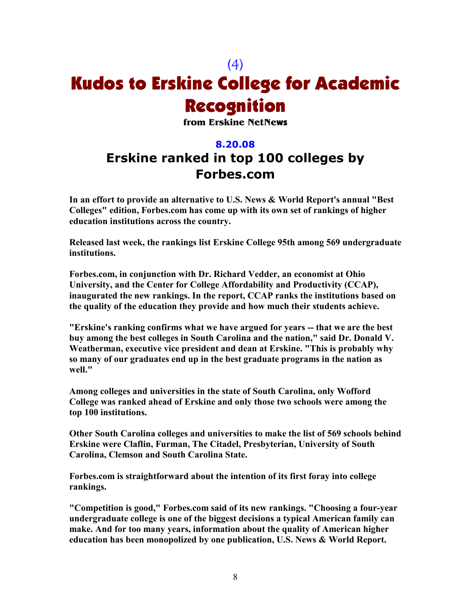## (4) Kudos to Erskine College for Academic Recognition

**from Erskine NetNe**ws

#### **8.20.08**

### **Erskine ranked in top 100 colleges by Forbes.com**

In an effort to provide an alternative to U.S. News & World Report's annual "Best **Colleges" edition, Forbes.com has come up with its own set of rankings of higher education institutions across the country.** 

**Released last week, the rankings list Erskine College 95th among 569 undergraduate institutions.** 

**Forbes.com, in conjunction with Dr. Richard Vedder, an economist at Ohio University, and the Center for College Affordability and Productivity (CCAP), inaugurated the new rankings. In the report, CCAP ranks the institutions based on the quality of the education they provide and how much their students achieve.** 

**"Erskine's ranking confirms what we have argued for years -- that we are the best buy among the best colleges in South Carolina and the nation," said Dr. Donald V. Weatherman, executive vice president and dean at Erskine. "This is probably why so many of our graduates end up in the best graduate programs in the nation as well."** 

**Among colleges and universities in the state of South Carolina, only Wofford College was ranked ahead of Erskine and only those two schools were among the top 100 institutions.** 

**Other South Carolina colleges and universities to make the list of 569 schools behind Erskine were Claflin, Furman, The Citadel, Presbyterian, University of South Carolina, Clemson and South Carolina State.** 

**Forbes.com is straightforward about the intention of its first foray into college rankings.** 

**"Competition is good," Forbes.com said of its new rankings. "Choosing a four-year undergraduate college is one of the biggest decisions a typical American family can make. And for too many years, information about the quality of American higher education has been monopolized by one publication, U.S. News & World Report.**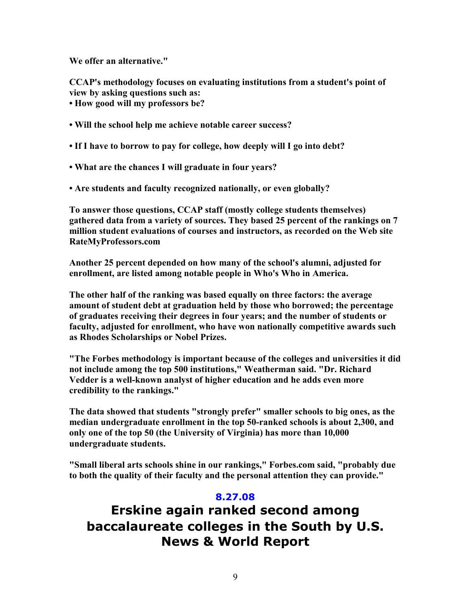**We offer an alternative."** 

**CCAP's methodology focuses on evaluating institutions from a student's point of view by asking questions such as:** 

**• How good will my professors be?** 

- **Will the school help me achieve notable career success?**
- **If I have to borrow to pay for college, how deeply will I go into debt?**
- **What are the chances I will graduate in four years?**
- **Are students and faculty recognized nationally, or even globally?**

**To answer those questions, CCAP staff (mostly college students themselves) gathered data from a variety of sources. They based 25 percent of the rankings on 7 million student evaluations of courses and instructors, as recorded on the Web site RateMyProfessors.com** 

**Another 25 percent depended on how many of the school's alumni, adjusted for enrollment, are listed among notable people in Who's Who in America.** 

**The other half of the ranking was based equally on three factors: the average amount of student debt at graduation held by those who borrowed; the percentage of graduates receiving their degrees in four years; and the number of students or faculty, adjusted for enrollment, who have won nationally competitive awards such**  as Rhodes Scholarships or Nobel Prizes.

**"The Forbes methodology is important because of the colleges and universities it did not include among the top 500 institutions," Weatherman said. "Dr. Richard Vedder is a well-known analyst of higher education and he adds even more credibility to the rankings."** 

**The data showed that students "strongly prefer" smaller schools to big ones, as the median undergraduate enrollment in the top 50-ranked schools is about 2,300, and only one of the top 50 (the University of Virginia) has more than 10,000 undergraduate students.** 

**"Small liberal arts schools shine in our rankings," Forbes.com said, "probably due to both the quality of their faculty and the personal attention they can provide."** 

#### **8.27.08**

**Erskine again ranked second among baccalaureate colleges in the South by U.S. News & World Report**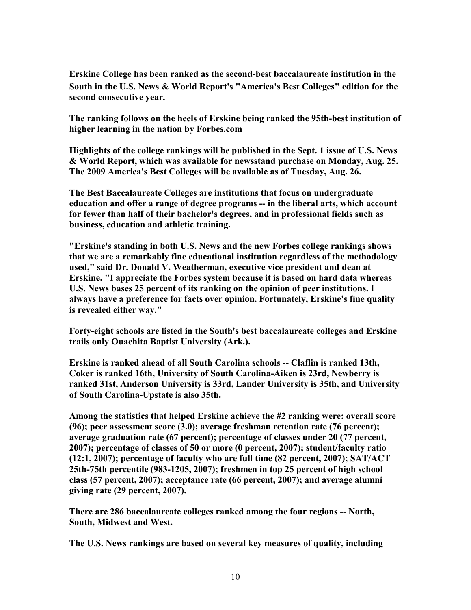**Erskine College has been ranked as the second-best baccalaureate institution in the**  South in the U.S. News & World Report's "America's Best Colleges" edition for the **second consecutive year.** 

**The ranking follows on the heels of Erskine being ranked the 95th-best institution of higher learning in the nation by Forbes.com** 

**Highlights of the college rankings will be published in the Sept. 1 issue of U.S. News & World Report, which was available for newsstand purchase on Monday, Aug. 25. The 2009 America's Best Colleges will be available as of Tuesday, Aug. 26.** 

**The Best Baccalaureate Colleges are institutions that focus on undergraduate education and offer a range of degree programs -- in the liberal arts, which account for fewer than half of their bachelor's degrees, and in professional fields such as business, education and athletic training.** 

**"Erskine's standing in both U.S. News and the new Forbes college rankings shows that we are a remarkably fine educational institution regardless of the methodology used," said Dr. Donald V. Weatherman, executive vice president and dean at Erskine. "I appreciate the Forbes system because it is based on hard data whereas U.S.** News bases 25 percent of its ranking on the opinion of peer institutions. I **always have a preference for facts over opinion. Fortunately, Erskine's fine quality is revealed either way."** 

**Forty-eight schools are listed in the South's best baccalaureate colleges and Erskine trails only Ouachita Baptist University (Ark.).** 

**Erskine is ranked ahead of all South Carolina schools -- Claflin is ranked 13th, Coker is ranked 16th, University of South Carolina-Aiken is 23rd, Newberry is ranked 31st, Anderson University is 33rd, Lander University is 35th, and University of South Carolina-Upstate is also 35th.** 

**Among the statistics that helped Erskine achieve the #2 ranking were: overall score (96); peer assessment score (3.0); average freshman retention rate (76 percent); average graduation rate (67 percent); percentage of classes under 20 (77 percent, 2007); percentage of classes of 50 or more (0 percent, 2007); student/faculty ratio (12:1, 2007); percentage of faculty who are full time (82 percent, 2007); SAT/ACT 25th-75th percentile (983-1205, 2007); freshmen in top 25 percent of high school class (57 percent, 2007); acceptance rate (66 percent, 2007); and average alumni giving rate (29 percent, 2007).** 

There are 286 baccalaureate colleges ranked among the four regions -- North, **South, Midwest and West.** 

The U.S. News rankings are based on several key measures of quality, including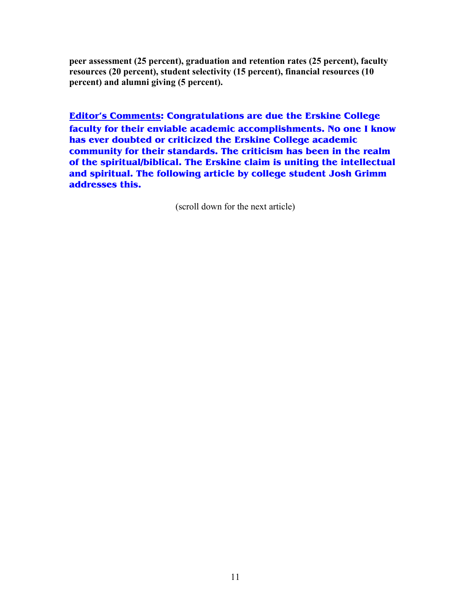**peer assessment (25 percent), graduation and retention rates (25 percent), faculty resources (20 percent), student selectivity (15 percent), financial resources (10 percent) and alumni giving (5 percent).**

**Editor's Comments: Congratulations are due the Erskine College faculty for their enviable academic accomplishments. No one I know has ever doubted or criticized the Erskine College academic community for their standards. The criticism has been in the realm of the spiritual/biblical. The Erskine claim is uniting the intellectual and spiritual. The following article by college student Josh Grimm addresses this.**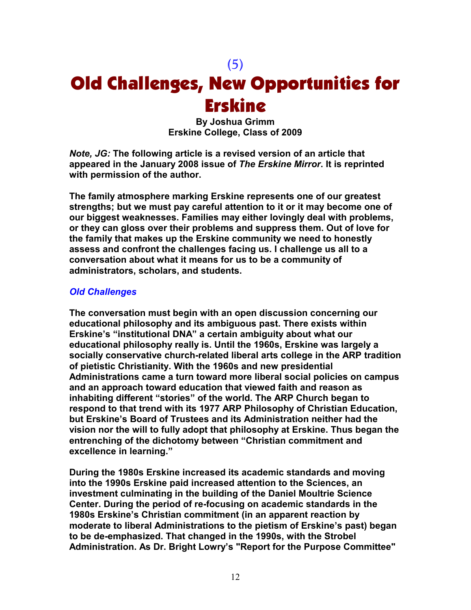### (5)

## Old Challenges, New Opportunities for Erskine

**By Joshua Grimm Erskine College, Class of 2009** 

*Note, JG:* **The following article is a revised version of an article that appeared in the January 2008 issue of** *The Erskine Mirror***. It is reprinted with permission of the author.** 

**The family atmosphere marking Erskine represents one of our greatest strengths; but we must pay careful attention to it or it may become one of our biggest weaknesses. Families may either lovingly deal with problems, or they can gloss over their problems and suppress them. Out of love for the family that makes up the Erskine community we need to honestly assess and confront the challenges facing us. I challenge us all to a conversation about what it means for us to be a community of administrators, scholars, and students.** 

#### *Old Challenges*

**The conversation must begin with an open discussion concerning our educational philosophy and its ambiguous past. There exists within Erskine's "institutional DNA" a certain ambiguity about what our educational philosophy really is. Until the 1960s, Erskine was largely a socially conservative church-related liberal arts college in the ARP tradition of pietistic Christianity. With the 1960s and new presidential Administrations came a turn toward more liberal social policies on campus and an approach toward education that viewed faith and reason as inhabiting different "stories" of the world. The ARP Church began to respond to that trend with its 1977 ARP Philosophy of Christian Education, but Erskine's Board of Trustees and its Administration neither had the vision nor the will to fully adopt that philosophy at Erskine. Thus began the entrenching of the dichotomy between "Christian commitment and excellence in learning."** 

**During the 1980s Erskine increased its academic standards and moving into the 1990s Erskine paid increased attention to the Sciences, an investment culminating in the building of the Daniel Moultrie Science Center. During the period of re-focusing on academic standards in the 1980s Erskine's Christian commitment (in an apparent reaction by moderate to liberal Administrations to the pietism of Erskine's past) began to be de-emphasized. That changed in the 1990s, with the Strobel Administration. As Dr. Bright Lowry's "Report for the Purpose Committee"**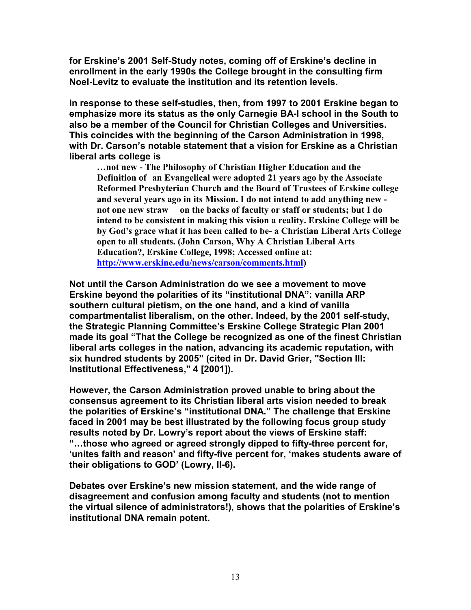**for Erskine's 2001 Self-Study notes, coming off of Erskine's decline in enrollment in the early 1990s the College brought in the consulting firm Noel-Levitz to evaluate the institution and its retention levels.** 

**In response to these self-studies, then, from 1997 to 2001 Erskine began to emphasize more its status as the only Carnegie BA-I school in the South to also be a member of the Council for Christian Colleges and Universities. This coincides with the beginning of the Carson Administration in 1998, with Dr. Carson's notable statement that a vision for Erskine as a Christian liberal arts college is** 

**…not new - The Philosophy of Christian Higher Education and the Definition of an Evangelical were adopted 21 years ago by the Associate Reformed Presbyterian Church and the Board of Trustees of Erskine college and several years ago in its Mission. I do not intend to add anything new not one new straw on the backs of faculty or staff or students; but I do intend to be consistent in making this vision a reality. Erskine College will be by God's grace what it has been called to be- a Christian Liberal Arts College open to all students. (John Carson, Why A Christian Liberal Arts Education?, Erskine College, 1998; Accessed online at: http://www.erskine.edu/news/carson/comments.html)** 

**Not until the Carson Administration do we see a movement to move Erskine beyond the polarities of its "institutional DNA": vanilla ARP southern cultural pietism, on the one hand, and a kind of vanilla compartmentalist liberalism, on the other. Indeed, by the 2001 self-study, the Strategic Planning Committee's Erskine College Strategic Plan 2001 made its goal "That the College be recognized as one of the finest Christian liberal arts colleges in the nation, advancing its academic reputation, with six hundred students by 2005" (cited in Dr. David Grier, "Section III: Institutional Effectiveness," 4 [2001]).** 

**However, the Carson Administration proved unable to bring about the consensus agreement to its Christian liberal arts vision needed to break the polarities of Erskine's "institutional DNA." The challenge that Erskine faced in 2001 may be best illustrated by the following focus group study results noted by Dr. Lowry's report about the views of Erskine staff:**  "...those who agreed or agreed strongly dipped to fifty-three percent for, **'unites faith and reason' and fifty-five percent for, 'makes students aware of their obligations to GOD' (Lowry, II-6).** 

**Debates over Erskine's new mission statement, and the wide range of disagreement and confusion among faculty and students (not to mention the virtual silence of administrators!), shows that the polarities of Erskine's institutional DNA remain potent.**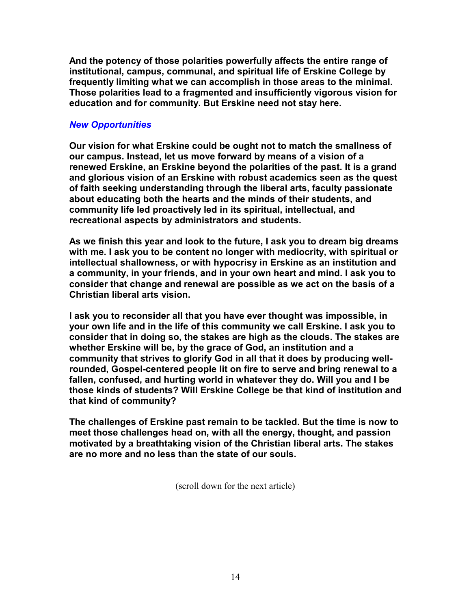**And the potency of those polarities powerfully affects the entire range of institutional, campus, communal, and spiritual life of Erskine College by frequently limiting what we can accomplish in those areas to the minimal. Those polarities lead to a fragmented and insufficiently vigorous vision for education and for community. But Erskine need not stay here.** 

#### *New Opportunities*

**Our vision for what Erskine could be ought not to match the smallness of our campus. Instead, let us move forward by means of a vision of a renewed Erskine, an Erskine beyond the polarities of the past. It is a grand and glorious vision of an Erskine with robust academics seen as the quest of faith seeking understanding through the liberal arts, faculty passionate about educating both the hearts and the minds of their students, and community life led proactively led in its spiritual, intellectual, and recreational aspects by administrators and students.** 

**As we finish this year and look to the future, I ask you to dream big dreams with me. I ask you to be content no longer with mediocrity, with spiritual or intellectual shallowness, or with hypocrisy in Erskine as an institution and a community, in your friends, and in your own heart and mind. I ask you to consider that change and renewal are possible as we act on the basis of a Christian liberal arts vision.** 

**I ask you to reconsider all that you have ever thought was impossible, in your own life and in the life of this community we call Erskine. I ask you to consider that in doing so, the stakes are high as the clouds. The stakes are whether Erskine will be, by the grace of God, an institution and a community that strives to glorify God in all that it does by producing wellrounded, Gospel-centered people lit on fire to serve and bring renewal to a fallen, confused, and hurting world in whatever they do. Will you and I be those kinds of students? Will Erskine College be that kind of institution and that kind of community?** 

**The challenges of Erskine past remain to be tackled. But the time is now to meet those challenges head on, with all the energy, thought, and passion motivated by a breathtaking vision of the Christian liberal arts. The stakes are no more and no less than the state of our souls.**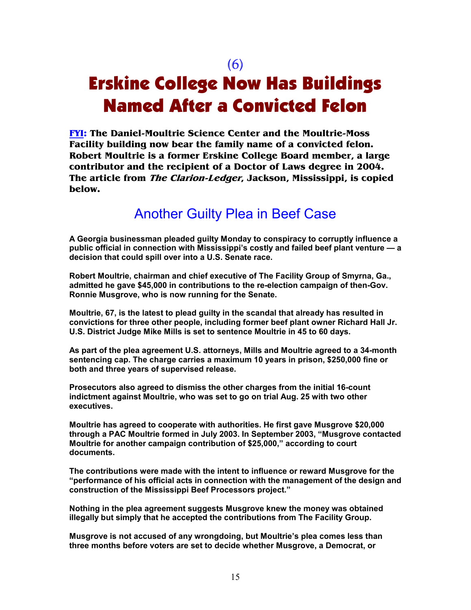(6)

## Erskine College Now Has Buildings Named After a Convicted Felon

**FYI: The Daniel-Moultrie Science Center and the Moultrie-Moss Facility building now bear the family name of a convicted felon. Robert Moultrie is a former Erskine College Board member, a large contributor and the recipient of a Doctor of Laws degree in 2004. The article from The Clarion-Ledger, Jackson, Mississippi, is copied below.** 

### Another Guilty Plea in Beef Case

**A Georgia businessman pleaded guilty Monday to conspiracy to corruptly influence a public official in connection with Mississippi's costly and failed beef plant venture — a decision that could spill over into a U.S. Senate race.** 

**Robert Moultrie, chairman and chief executive of The Facility Group of Smyrna, Ga., admitted he gave \$45,000 in contributions to the re-election campaign of then-Gov. Ronnie Musgrove, who is now running for the Senate.** 

**Moultrie, 67, is the latest to plead guilty in the scandal that already has resulted in convictions for three other people, including former beef plant owner Richard Hall Jr. U.S. District Judge Mike Mills is set to sentence Moultrie in 45 to 60 days.** 

**As part of the plea agreement U.S. attorneys, Mills and Moultrie agreed to a 34-month sentencing cap. The charge carries a maximum 10 years in prison, \$250,000 fine or both and three years of supervised release.** 

**Prosecutors also agreed to dismiss the other charges from the initial 16-count indictment against Moultrie, who was set to go on trial Aug. 25 with two other executives.** 

**Moultrie has agreed to cooperate with authorities. He first gave Musgrove \$20,000 through a PAC Moultrie formed in July 2003. In September 2003, "Musgrove contacted Moultrie for another campaign contribution of \$25,000," according to court documents.** 

**The contributions were made with the intent to influence or reward Musgrove for the "performance of his official acts in connection with the management of the design and construction of the Mississippi Beef Processors project."** 

**Nothing in the plea agreement suggests Musgrove knew the money was obtained illegally but simply that he accepted the contributions from The Facility Group.** 

**Musgrove is not accused of any wrongdoing, but Moultrie's plea comes less than three months before voters are set to decide whether Musgrove, a Democrat, or**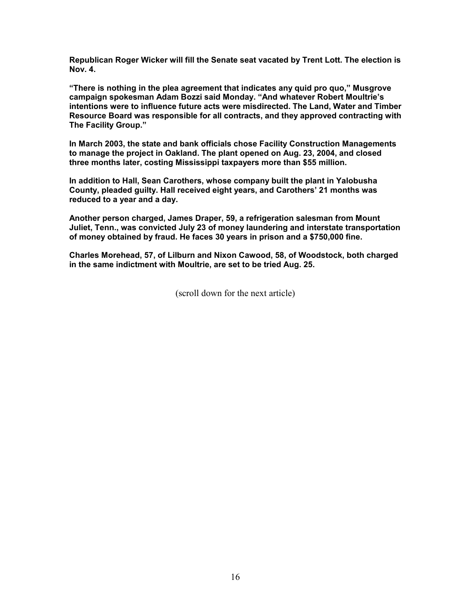**Republican Roger Wicker will fill the Senate seat vacated by Trent Lott. The election is Nov. 4.** 

**"There is nothing in the plea agreement that indicates any quid pro quo," Musgrove campaign spokesman Adam Bozzi said Monday. "And whatever Robert Moultrie's intentions were to influence future acts were misdirected. The Land, Water and Timber Resource Board was responsible for all contracts, and they approved contracting with The Facility Group."** 

**In March 2003, the state and bank officials chose Facility Construction Managements to manage the project in Oakland. The plant opened on Aug. 23, 2004, and closed three months later, costing Mississippi taxpayers more than \$55 million.** 

**In addition to Hall, Sean Carothers, whose company built the plant in Yalobusha County, pleaded guilty. Hall received eight years, and Carothers' 21 months was reduced to a year and a day.** 

**Another person charged, James Draper, 59, a refrigeration salesman from Mount Juliet, Tenn., was convicted July 23 of money laundering and interstate transportation of money obtained by fraud. He faces 30 years in prison and a \$750,000 fine.** 

**Charles Morehead, 57, of Lilburn and Nixon Cawood, 58, of Woodstock, both charged in the same indictment with Moultrie, are set to be tried Aug. 25.**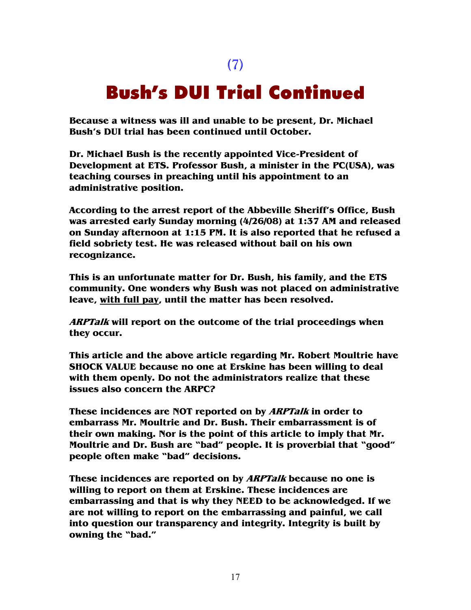(7)

### Bush's DUI Trial Continued

**Because a witness was ill and unable to be present, Dr. Michael Bush's DUI trial has been continued until October.** 

**Dr. Michael Bush is the recently appointed Vice-President of Development at ETS. Professor Bush, a minister in the PC(USA), was teaching courses in preaching until his appointment to an administrative position.** 

**According to the arrest report of the Abbeville Sheriff's Office, Bush was arrested early Sunday morning (4/26/08) at 1:37 AM and released on Sunday afternoon at 1:15 PM. It is also reported that he refused a field sobriety test. He was released without bail on his own recognizance.** 

**This is an unfortunate matter for Dr. Bush, his family, and the ETS community. One wonders why Bush was not placed on administrative leave, with full pay, until the matter has been resolved.** 

**ARPTalk will report on the outcome of the trial proceedings when they occur.** 

**This article and the above article regarding Mr. Robert Moultrie have SHOCK VALUE because no one at Erskine has been willing to deal with them openly. Do not the administrators realize that these issues also concern the ARPC?** 

**These incidences are NOT reported on by ARPTalk in order to embarrass Mr. Moultrie and Dr. Bush. Their embarrassment is of their own making. Nor is the point of this article to imply that Mr. Moultrie and Dr. Bush are "bad" people. It is proverbial that "good" people often make "bad" decisions.** 

**These incidences are reported on by ARPTalk because no one is willing to report on them at Erskine. These incidences are embarrassing and that is why they NEED to be acknowledged. If we are not willing to report on the embarrassing and painful, we call into question our transparency and integrity. Integrity is built by owning the "bad."**